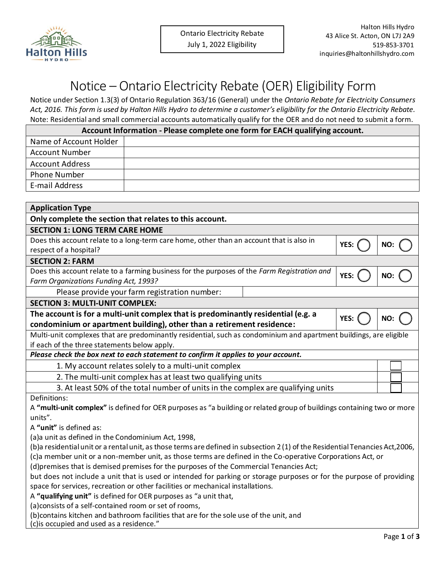

## Notice – Ontario Electricity Rebate (OER) Eligibility Form

Notice under Section 1.3(3) of Ontario Regulation 363/16 (General) under the *Ontario Rebate for Electricity Consumers Act, 2016. This form is used by Halton Hills Hydro to determine a customer's eligibility for the Ontario Electricity Rebate.* Note: Residential and small commercial accounts automatically qualify for the OER and do not need to submit a form.

| Account Information - Please complete one form for EACH qualifying account. |  |  |  |  |
|-----------------------------------------------------------------------------|--|--|--|--|
| Name of Account Holder                                                      |  |  |  |  |
| <b>Account Number</b>                                                       |  |  |  |  |
| <b>Account Address</b>                                                      |  |  |  |  |
| Phone Number                                                                |  |  |  |  |
| E-mail Address                                                              |  |  |  |  |

| <b>Application Type</b>                                                                                                      |      |     |  |  |  |
|------------------------------------------------------------------------------------------------------------------------------|------|-----|--|--|--|
| Only complete the section that relates to this account.                                                                      |      |     |  |  |  |
| <b>SECTION 1: LONG TERM CARE HOME</b>                                                                                        |      |     |  |  |  |
| Does this account relate to a long-term care home, other than an account that is also in<br>YES:                             |      |     |  |  |  |
| respect of a hospital?                                                                                                       |      | NO: |  |  |  |
| <b>SECTION 2: FARM</b>                                                                                                       |      |     |  |  |  |
| Does this account relate to a farming business for the purposes of the Farm Registration and                                 | YES: | NO: |  |  |  |
| Farm Organizations Funding Act, 1993?                                                                                        |      |     |  |  |  |
| Please provide your farm registration number:                                                                                |      |     |  |  |  |
| <b>SECTION 3: MULTI-UNIT COMPLEX:</b>                                                                                        |      |     |  |  |  |
| The account is for a multi-unit complex that is predominantly residential (e.g. a<br>YES:                                    |      | NO: |  |  |  |
| condominium or apartment building), other than a retirement residence:                                                       |      |     |  |  |  |
| Multi-unit complexes that are predominantly residential, such as condominium and apartment buildings, are eligible           |      |     |  |  |  |
| if each of the three statements below apply.                                                                                 |      |     |  |  |  |
| Please check the box next to each statement to confirm it applies to your account.                                           |      |     |  |  |  |
| 1. My account relates solely to a multi-unit complex                                                                         |      |     |  |  |  |
| 2. The multi-unit complex has at least two qualifying units                                                                  |      |     |  |  |  |
| 3. At least 50% of the total number of units in the complex are qualifying units                                             |      |     |  |  |  |
| Definitions:                                                                                                                 |      |     |  |  |  |
| A "multi-unit complex" is defined for OER purposes as "a building or related group of buildings containing two or more       |      |     |  |  |  |
| units".                                                                                                                      |      |     |  |  |  |
| A "unit" is defined as:                                                                                                      |      |     |  |  |  |
| (a)a unit as defined in the Condominium Act, 1998,                                                                           |      |     |  |  |  |
| (b)a residential unit or a rental unit, as those terms are defined in subsection 2(1) of the Residential Tenancies Act,2006, |      |     |  |  |  |
| (c)a member unit or a non-member unit, as those terms are defined in the Co-operative Corporations Act, or                   |      |     |  |  |  |
| (d)premises that is demised premises for the purposes of the Commercial Tenancies Act;                                       |      |     |  |  |  |
| but does not include a unit that is used or intended for parking or storage purposes or for the purpose of providing         |      |     |  |  |  |
| space for services, recreation or other facilities or mechanical installations.                                              |      |     |  |  |  |

A **"qualifying unit"** is defined for OER purposes as "a unit that,

(a)consists of a self-contained room or set of rooms,

(b)contains kitchen and bathroom facilities that are for the sole use of the unit, and

(c)is occupied and used as a residence."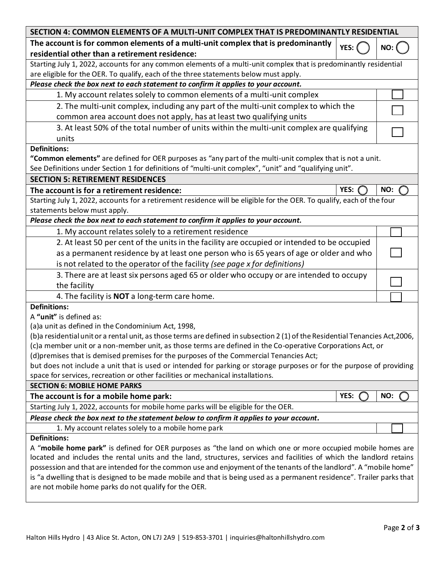| SECTION 4: COMMON ELEMENTS OF A MULTI-UNIT COMPLEX THAT IS PREDOMINANTLY RESIDENTIAL                                           |        |     |  |  |  |
|--------------------------------------------------------------------------------------------------------------------------------|--------|-----|--|--|--|
| The account is for common elements of a multi-unit complex that is predominantly                                               | YES: ( | NO: |  |  |  |
| residential other than a retirement residence:                                                                                 |        |     |  |  |  |
| Starting July 1, 2022, accounts for any common elements of a multi-unit complex that is predominantly residential              |        |     |  |  |  |
| are eligible for the OER. To qualify, each of the three statements below must apply.                                           |        |     |  |  |  |
| Please check the box next to each statement to confirm it applies to your account.                                             |        |     |  |  |  |
| 1. My account relates solely to common elements of a multi-unit complex                                                        |        |     |  |  |  |
| 2. The multi-unit complex, including any part of the multi-unit complex to which the                                           |        |     |  |  |  |
| common area account does not apply, has at least two qualifying units                                                          |        |     |  |  |  |
| 3. At least 50% of the total number of units within the multi-unit complex are qualifying                                      |        |     |  |  |  |
| units                                                                                                                          |        |     |  |  |  |
| <b>Definitions:</b>                                                                                                            |        |     |  |  |  |
| "Common elements" are defined for OER purposes as "any part of the multi-unit complex that is not a unit.                      |        |     |  |  |  |
| See Definitions under Section 1 for definitions of "multi-unit complex", "unit" and "qualifying unit".                         |        |     |  |  |  |
| <b>SECTION 5: RETIREMENT RESIDENCES</b>                                                                                        |        |     |  |  |  |
| The account is for a retirement residence:                                                                                     | YES:   | NO: |  |  |  |
| Starting July 1, 2022, accounts for a retirement residence will be eligible for the OER. To qualify, each of the four          |        |     |  |  |  |
| statements below must apply.                                                                                                   |        |     |  |  |  |
| Please check the box next to each statement to confirm it applies to your account.                                             |        |     |  |  |  |
| 1. My account relates solely to a retirement residence                                                                         |        |     |  |  |  |
| 2. At least 50 per cent of the units in the facility are occupied or intended to be occupied                                   |        |     |  |  |  |
| as a permanent residence by at least one person who is 65 years of age or older and who                                        |        |     |  |  |  |
| is not related to the operator of the facility (see page x for definitions)                                                    |        |     |  |  |  |
| 3. There are at least six persons aged 65 or older who occupy or are intended to occupy                                        |        |     |  |  |  |
| the facility                                                                                                                   |        |     |  |  |  |
|                                                                                                                                |        |     |  |  |  |
| 4. The facility is <b>NOT</b> a long-term care home.                                                                           |        |     |  |  |  |
| <b>Definitions:</b><br>A "unit" is defined as:                                                                                 |        |     |  |  |  |
| (a)a unit as defined in the Condominium Act, 1998,                                                                             |        |     |  |  |  |
| (b)a residential unit or a rental unit, as those terms are defined in subsection 2 (1) of the Residential Tenancies Act, 2006, |        |     |  |  |  |
| (c)a member unit or a non-member unit, as those terms are defined in the Co-operative Corporations Act, or                     |        |     |  |  |  |
| (d)premises that is demised premises for the purposes of the Commercial Tenancies Act;                                         |        |     |  |  |  |
| but does not include a unit that is used or intended for parking or storage purposes or for the purpose of providing           |        |     |  |  |  |
| space for services, recreation or other facilities or mechanical installations.                                                |        |     |  |  |  |
| <b>SECTION 6: MOBILE HOME PARKS</b>                                                                                            |        |     |  |  |  |
| The account is for a mobile home park:                                                                                         | YES:   | NO: |  |  |  |
| Starting July 1, 2022, accounts for mobile home parks will be eligible for the OER.                                            |        |     |  |  |  |
| Please check the box next to the statement below to confirm it applies to your account.                                        |        |     |  |  |  |
| 1. My account relates solely to a mobile home park                                                                             |        |     |  |  |  |
| <b>Definitions:</b>                                                                                                            |        |     |  |  |  |
| A "mobile home park" is defined for OER purposes as "the land on which one or more occupied mobile homes are                   |        |     |  |  |  |
| located and includes the rental units and the land, structures, services and facilities of which the landlord retains          |        |     |  |  |  |
| possession and that are intended for the common use and enjoyment of the tenants of the landlord". A "mobile home"             |        |     |  |  |  |
| is "a dwelling that is designed to be made mobile and that is being used as a permanent residence". Trailer parks that         |        |     |  |  |  |

are not mobile home parks do not qualify for the OER.